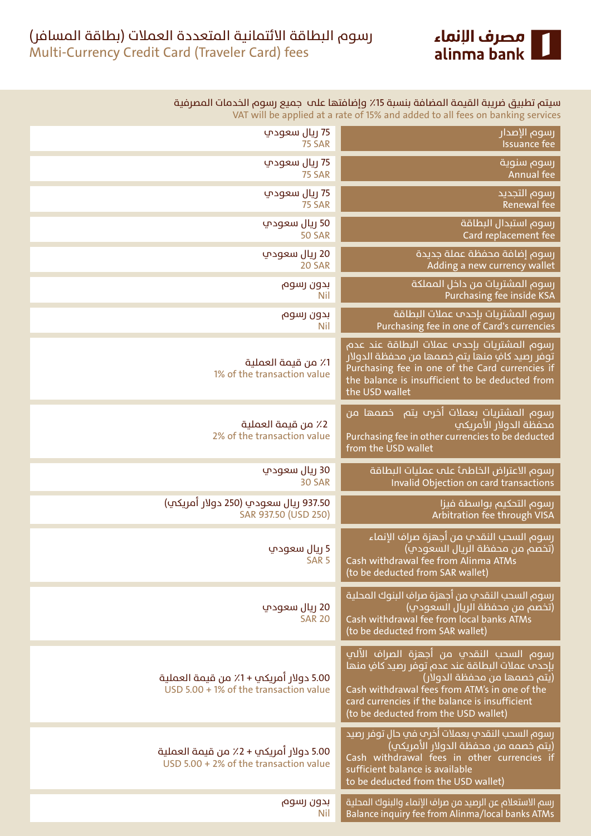

| سيتم تطبيق ضريبة القيمة المضافة بنسبة 15٪ وإضافتها علىب جميع رسوم الخدمات المصرفية<br>VAT will be applied at a rate of 15% and added to all fees on banking services                                                                                                  |                                                                                  |  |  |
|-----------------------------------------------------------------------------------------------------------------------------------------------------------------------------------------------------------------------------------------------------------------------|----------------------------------------------------------------------------------|--|--|
| رسوم الإصدار                                                                                                                                                                                                                                                          | 75 ريال سعودي                                                                    |  |  |
| <b>Issuance fee</b>                                                                                                                                                                                                                                                   | <b>75 SAR</b>                                                                    |  |  |
| رسوم سنوية                                                                                                                                                                                                                                                            | 75 ريال سعودي                                                                    |  |  |
| Annual fee                                                                                                                                                                                                                                                            | <b>75 SAR</b>                                                                    |  |  |
| رسوم التجديد                                                                                                                                                                                                                                                          | 75 ريال سعودي                                                                    |  |  |
| Renewal fee                                                                                                                                                                                                                                                           | <b>75 SAR</b>                                                                    |  |  |
| رسوم استبدال البطاقة                                                                                                                                                                                                                                                  | 50 ريال سعودپ                                                                    |  |  |
| Card replacement fee                                                                                                                                                                                                                                                  | <b>50 SAR</b>                                                                    |  |  |
| رسوم إضافة محفظة عملة جديدة                                                                                                                                                                                                                                           | 20 ريال سعودپ                                                                    |  |  |
| Adding a new currency wallet                                                                                                                                                                                                                                          | 20 SAR                                                                           |  |  |
| رسوم المشتريات من داخل المملكة                                                                                                                                                                                                                                        | بدون رسوم                                                                        |  |  |
| Purchasing fee inside KSA                                                                                                                                                                                                                                             | Nil                                                                              |  |  |
| رسوم المشتريات بإحدم عملات البطاقة                                                                                                                                                                                                                                    | بدون رسوم                                                                        |  |  |
| Purchasing fee in one of Card's currencies                                                                                                                                                                                                                            | <b>Nil</b>                                                                       |  |  |
| رسوم المشتريات بإحدم عملات البطاقة عند عدم<br>توفر رصيد كافٍ منها يتم خصمها من محفظة الدولار<br>Purchasing fee in one of the Card currencies if<br>the balance is insufficient to be deducted from<br>the USD wallet                                                  | 1٪ من قيمة العملية<br>1% of the transaction value                                |  |  |
| رسوم المشتريات بعملات أخرم يتم _خصمها من<br>محفظة الدولار الأمريكي<br>Purchasing fee in other currencies to be deducted<br>from the USD wallet                                                                                                                        | 2٪ من قيمة العملية<br>2% of the transaction value                                |  |  |
| رسوم الاعتراض الخاطمأ علم عمليات البطاقة                                                                                                                                                                                                                              | 30 ريال سعودپ                                                                    |  |  |
| Invalid Objection on card transactions                                                                                                                                                                                                                                | 30 SAR                                                                           |  |  |
| رسوم التحكيم بواسطة فيزا                                                                                                                                                                                                                                              | 937.50 ريال سعودي (250 دولار أمريكي)                                             |  |  |
| Arbitration fee through VISA                                                                                                                                                                                                                                          | SAR 937.50 (USD 250)                                                             |  |  |
| رسوم السحب النقدي من أجهزة صراف الإنماء<br>(تخصم من محفظة الريال السعودي)<br>Cash withdrawal fee from Alinma ATMs<br>(to be deducted from SAR wallet)                                                                                                                 | 5 ريال سعودپ<br>SAR <sub>5</sub>                                                 |  |  |
| رسوم السحب النقدي من أجهزة صراف البنوك المحلية<br>(تخصم من محفظة الريال السعودي)<br>Cash withdrawal fee from local banks ATMs<br>(to be deducted from SAR wallet)                                                                                                     | 20 ريال سعودپ<br><b>SAR 20</b>                                                   |  |  |
| رسوم السحب النقدي من أجهزة الصراف الآلي<br>بإحدث عملات البطاقة عند عدم توفر رصيد كافٍ منها<br>(يتم خصمها من محفظة الدولار)<br>Cash withdrawal fees from ATM's in one of the<br>card currencies if the balance is insufficient<br>(to be deducted from the USD wallet) | 5.00 دولار أمريكي +1٪ من قيمة العملية<br>USD 5.00 + 1% of the transaction value  |  |  |
| رسوم السحب النقدي بعملات أخرم في حال توفر رصيد<br>(يتم خصمه من محفظة الدولار الأمريكي)<br>Cash withdrawal fees in other currencies if<br>sufficient balance is available<br>to be deducted from the USD wallet)                                                       | 5.00 دولار أمريكب + 2٪ من قيمة العملية<br>USD 5.00 + 2% of the transaction value |  |  |
| رسم الاستعلام عن الرصيد من صراف الإنماء والبنوك المحلية                                                                                                                                                                                                               | بدون رسوم                                                                        |  |  |
| Balance inquiry fee from Alinma/local banks ATMs                                                                                                                                                                                                                      | Nil                                                                              |  |  |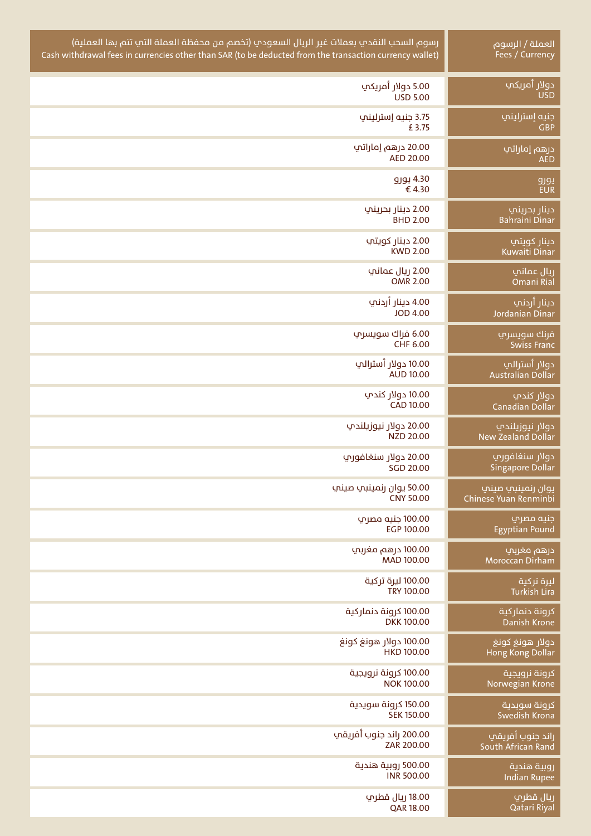| رسوم السحب النقدي بعملات غير الريال السعودي (تخصم من محفظة العملة التي تتم بها العملية)                 | $\overline{\mathsf{Q}}$ العملة / الرسوم |
|---------------------------------------------------------------------------------------------------------|-----------------------------------------|
| Cash withdrawal fees in currencies other than SAR (to be deducted from the transaction currency wallet) | Fees / Currency                         |
| 5.00 دولار أمريكپ                                                                                       | <u>دولار</u> أمريكي                     |
| <b>USD 5.00</b>                                                                                         | <b>USD</b>                              |
| 3.75 جنيه إسترليني                                                                                      | جنيه إسترليني                           |
| £3.75                                                                                                   | <b>GBP</b>                              |
| 20.00 درهم إماراتپ                                                                                      | درهم إماراتب                            |
| AED 20.00                                                                                               | <b>AED</b>                              |
| 4.30 يورو                                                                                               | يورو                                    |
| €4.30                                                                                                   | <b>EUR</b>                              |
| 2.00 دينار بحريني                                                                                       | دينار بحريني                            |
| <b>BHD 2.00</b>                                                                                         | <b>Bahraini Dinar</b>                   |
| 2.00 دينار کويتپ                                                                                        | دينار كويتي                             |
| <b>KWD 2.00</b>                                                                                         | <b>Kuwaiti Dinar</b>                    |
| 2.00 ريال عماني                                                                                         | ريال عماني                              |
| <b>OMR 2.00</b>                                                                                         | Omani Rial                              |
| 4.00 دينار أردني                                                                                        | دينار أردني                             |
| <b>JOD 4.00</b>                                                                                         | Jordanian Dinar                         |
| 6.00 فراك سويسري                                                                                        | فرنك سويسري                             |
| CHF 6.00                                                                                                | <b>Swiss Franc</b>                      |
| 10.00 دولار أسترالپ                                                                                     | دولار أسترالي                           |
| <b>AUD 10.00</b>                                                                                        | Australian Dollar                       |
| 10.00 دولار کندپ                                                                                        | دولار كندپ                              |
| <b>CAD 10.00</b>                                                                                        | Canadian Dollar                         |
| 20.00 دولار نيوزيلندي                                                                                   | دولار نيوزيلندپ                         |
| NZD 20.00                                                                                               | New Zealand Dollar                      |
| 20.00 دولار سنغافوري                                                                                    | دولار سنغافورپ                          |
| <b>SGD 20.00</b>                                                                                        | <b>Singapore Dollar</b>                 |
| 50.00 يوان رنمينبي صيني                                                                                 | یوان رنمینبی صینپ                       |
| <b>CNY 50.00</b>                                                                                        | Chinese Yuan Renminbi                   |
| 100.00 جنيه مصري                                                                                        | جنيه مصري                               |
| EGP 100.00                                                                                              | <b>Egyptian Pound</b>                   |
| 100.00 درهم مغربپ                                                                                       | درهم مغربپ                              |
| MAD 100.00                                                                                              | Moroccan Dirham                         |
| 100.00 ليرة تركية                                                                                       | ليرة تركية                              |
| <b>TRY 100.00</b>                                                                                       | <b>Turkish Lira</b>                     |
| 100.00 كرونة دنماركية                                                                                   | كرونة دنماركية                          |
| <b>DKK100.00</b>                                                                                        | Danish Krone                            |
| 100.00 دولار هونغ كونغ                                                                                  | دولار هونغ كونغ                         |
| <b>HKD 100.00</b>                                                                                       | Hong Kong Dollar                        |
| 100.00 كرونة نرويجية                                                                                    | كرونة نرويجية                           |
| <b>NOK 100.00</b>                                                                                       | Norwegian Krone                         |
| 150.00 كرونة سويدية                                                                                     | كرونة سويدية                            |
| <b>SEK 150.00</b>                                                                                       | Swedish Krona                           |
| 200.00 راند جنوب أفريقي                                                                                 | راند جنوب أفريقي                        |
| ZAR 200.00                                                                                              | South African Rand                      |
| 500.00 روبية هندية                                                                                      | روبية هندية                             |
| <b>INR 500.00</b>                                                                                       | <b>Indian Rupee</b>                     |
| 18.00 ريال قطرپ                                                                                         | ريال قطري                               |
| <b>QAR 18.00</b>                                                                                        | Qatari Riyal                            |